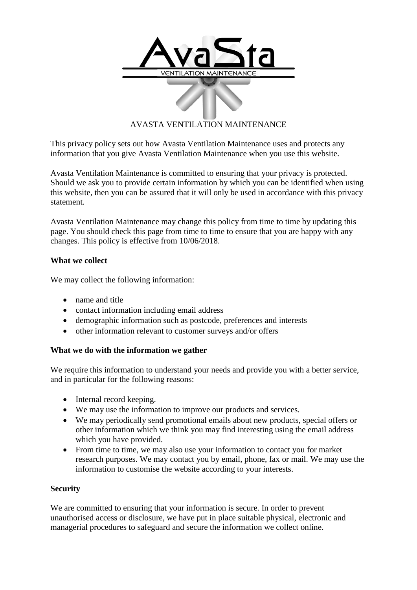

# AVASTA VENTILATION MAINTENANCE

This privacy policy sets out how Avasta Ventilation Maintenance uses and protects any information that you give Avasta Ventilation Maintenance when you use this website.

Avasta Ventilation Maintenance is committed to ensuring that your privacy is protected. Should we ask you to provide certain information by which you can be identified when using this website, then you can be assured that it will only be used in accordance with this privacy statement.

Avasta Ventilation Maintenance may change this policy from time to time by updating this page. You should check this page from time to time to ensure that you are happy with any changes. This policy is effective from 10/06/2018.

### **What we collect**

We may collect the following information:

- name and title
- contact information including email address
- demographic information such as postcode, preferences and interests
- other information relevant to customer surveys and/or offers

### **What we do with the information we gather**

We require this information to understand your needs and provide you with a better service, and in particular for the following reasons:

- Internal record keeping.
- We may use the information to improve our products and services.
- We may periodically send promotional emails about new products, special offers or other information which we think you may find interesting using the email address which you have provided.
- From time to time, we may also use your information to contact you for market research purposes. We may contact you by email, phone, fax or mail. We may use the information to customise the website according to your interests.

### **Security**

We are committed to ensuring that your information is secure. In order to prevent unauthorised access or disclosure, we have put in place suitable physical, electronic and managerial procedures to safeguard and secure the information we collect online.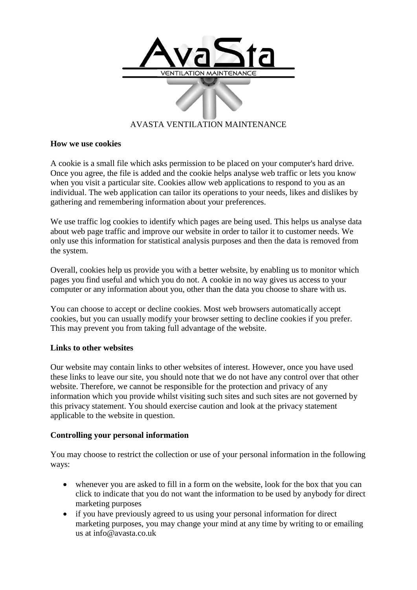

## AVASTA VENTILATION MAINTENANCE

### **How we use cookies**

A cookie is a small file which asks permission to be placed on your computer's hard drive. Once you agree, the file is added and the cookie helps analyse web traffic or lets you know when you visit a particular site. Cookies allow web applications to respond to you as an individual. The web application can tailor its operations to your needs, likes and dislikes by gathering and remembering information about your preferences.

We use traffic log cookies to identify which pages are being used. This helps us analyse data about web page traffic and improve our website in order to tailor it to customer needs. We only use this information for statistical analysis purposes and then the data is removed from the system.

Overall, cookies help us provide you with a better website, by enabling us to monitor which pages you find useful and which you do not. A cookie in no way gives us access to your computer or any information about you, other than the data you choose to share with us.

You can choose to accept or decline cookies. Most web browsers automatically accept cookies, but you can usually modify your browser setting to decline cookies if you prefer. This may prevent you from taking full advantage of the website.

### **Links to other websites**

Our website may contain links to other websites of interest. However, once you have used these links to leave our site, you should note that we do not have any control over that other website. Therefore, we cannot be responsible for the protection and privacy of any information which you provide whilst visiting such sites and such sites are not governed by this privacy statement. You should exercise caution and look at the privacy statement applicable to the website in question.

### **Controlling your personal information**

You may choose to restrict the collection or use of your personal information in the following ways:

- whenever you are asked to fill in a form on the website, look for the box that you can click to indicate that you do not want the information to be used by anybody for direct marketing purposes
- if you have previously agreed to us using your personal information for direct marketing purposes, you may change your mind at any time by writing to or emailing us at info@avasta.co.uk